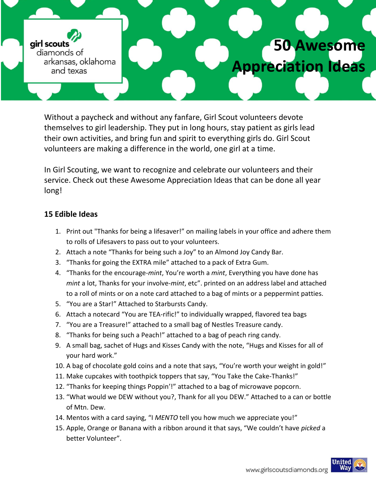girl scouts diamonds of arkansas, oklahoma and texas

# Without a paycheck and without any fanfare, Girl Scout volunteers devote themselves to girl leadership. They put in long hours, stay patient as girls lead

their own activities, and bring fun and spirit to everything girls do. Girl Scout volunteers are making a difference in the world, one girl at a time.

In Girl Scouting, we want to recognize and celebrate our volunteers and their service. Check out these Awesome Appreciation Ideas that can be done all year long!

## **15 Edible Ideas**

- 1. Print out "Thanks for being a lifesaver!" on mailing labels in your office and adhere them to rolls of Lifesavers to pass out to your volunteers.
- 2. Attach a note "Thanks for being such a Joy" to an Almond Joy Candy Bar.
- 3. "Thanks for going the EXTRA mile" attached to a pack of Extra Gum.
- 4. "Thanks for the encourage-*mint*, You're worth a *mint*, Everything you have done has *mint* a lot, Thanks for your involve-*mint*, etc". printed on an address label and attached to a roll of mints or on a note card attached to a bag of mints or a peppermint patties.
- 5. "You are a Star!" Attached to Starbursts Candy.
- 6. Attach a notecard "You are TEA-rific!" to individually wrapped, flavored tea bags
- 7. "You are a Treasure!" attached to a small bag of Nestles Treasure candy.
- 8. "Thanks for being such a Peach!" attached to a bag of peach ring candy.
- 9. A small bag, sachet of Hugs and Kisses Candy with the note, "Hugs and Kisses for all of your hard work."
- 10. A bag of chocolate gold coins and a note that says, "You're worth your weight in gold!"
- 11. Make cupcakes with toothpick toppers that say, "You Take the Cake-Thanks!"
- 12. "Thanks for keeping things Poppin'!" attached to a bag of microwave popcorn.
- 13. "What would we DEW without you?, Thank for all you DEW." Attached to a can or bottle of Mtn. Dew.
- 14. Mentos with a card saying, "I *MENTO* tell you how much we appreciate you!"
- 15. Apple, Orange or Banana with a ribbon around it that says, "We couldn't have *picked* a better Volunteer".



**50 Awesome**

**Appreciation Ideas**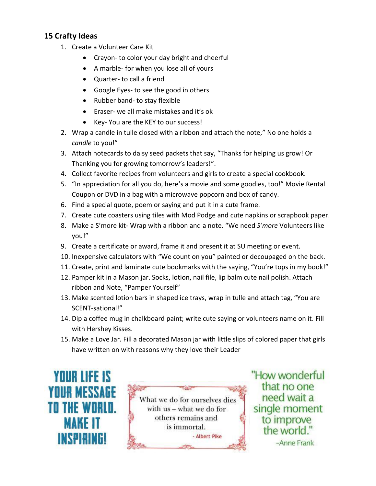### **15 Crafty Ideas**

- 1. Create a Volunteer Care Kit
	- Crayon- to color your day bright and cheerful
	- A marble- for when you lose all of yours
	- Quarter- to call a friend
	- Google Eyes- to see the good in others
	- Rubber band- to stay flexible
	- Eraser- we all make mistakes and it's ok
	- Key- You are the KEY to our success!
- 2. Wrap a candle in tulle closed with a ribbon and attach the note," No one holds a *candle* to you!"
- 3. Attach notecards to daisy seed packets that say, "Thanks for helping us grow! Or Thanking you for growing tomorrow's leaders!".
- 4. Collect favorite recipes from volunteers and girls to create a special cookbook.
- 5. "In appreciation for all you do, here's a movie and some goodies, too!" Movie Rental Coupon or DVD in a bag with a microwave popcorn and box of candy.
- 6. Find a special quote, poem or saying and put it in a cute frame.
- 7. Create cute coasters using tiles with Mod Podge and cute napkins or scrapbook paper.
- 8. Make a S'more kit- Wrap with a ribbon and a note. "We need *S'more* Volunteers like you!"
- 9. Create a certificate or award, frame it and present it at SU meeting or event.
- 10. Inexpensive calculators with "We count on you" painted or decoupaged on the back.
- 11. Create, print and laminate cute bookmarks with the saying, "You're tops in my book!"
- 12. Pamper kit in a Mason jar. Socks, lotion, nail file, lip balm cute nail polish. Attach ribbon and Note, "Pamper Yourself"
- 13. Make scented lotion bars in shaped ice trays, wrap in tulle and attach tag, "You are SCENT-sational!"
- 14. Dip a coffee mug in chalkboard paint; write cute saying or volunteers name on it. Fill with Hershey Kisses.
- 15. Make a Love Jar. Fill a decorated Mason jar with little slips of colored paper that girls have written on with reasons why they love their Leader





"How wonderful that no one need wait a single moment to improve the world." -Anne Frank